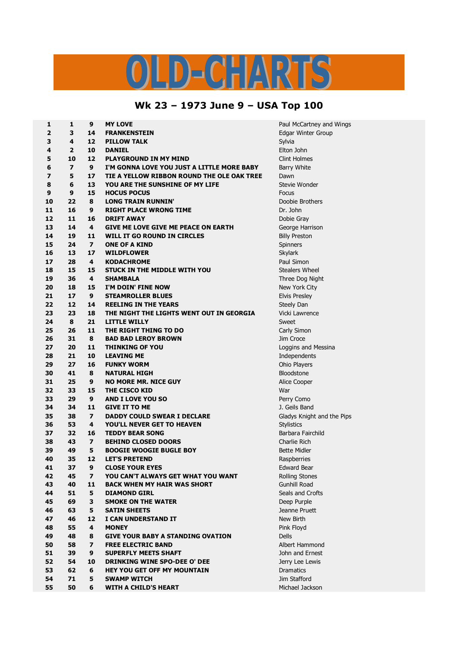## OLD-CHARTS

## **Wk 23 – 1973 June 9 – USA Top 100**

| 1  | 1                       | 9                        | <b>MY LOVE</b>                             | Paul McCartney and Wings   |
|----|-------------------------|--------------------------|--------------------------------------------|----------------------------|
| 2  | 3                       | 14                       | <b>FRANKENSTEIN</b>                        | <b>Edgar Winter Group</b>  |
| 3  | 4                       | 12                       | <b>PILLOW TALK</b>                         | Sylvia                     |
| 4  | $\overline{2}$          | 10                       | <b>DANIEL</b>                              | Elton John                 |
| 5  | 10                      | 12                       | <b>PLAYGROUND IN MY MIND</b>               | <b>Clint Holmes</b>        |
| 6  | $\overline{\mathbf{z}}$ | 9                        | I'M GONNA LOVE YOU JUST A LITTLE MORE BABY | <b>Barry White</b>         |
| 7  | 5                       | 17                       | TIE A YELLOW RIBBON ROUND THE OLE OAK TREE | Dawn                       |
| 8  | 6                       | 13                       | YOU ARE THE SUNSHINE OF MY LIFE            | Stevie Wonder              |
| 9  | 9                       | 15                       | <b>HOCUS POCUS</b>                         | Focus                      |
| 10 | 22                      | 8                        | <b>LONG TRAIN RUNNIN'</b>                  | Doobie Brothers            |
| 11 | 16                      | 9                        | <b>RIGHT PLACE WRONG TIME</b>              | Dr. John                   |
| 12 | 11                      | 16                       | <b>DRIFT AWAY</b>                          | Dobie Gray                 |
| 13 | 14                      | 4                        | <b>GIVE ME LOVE GIVE ME PEACE ON EARTH</b> | George Harrison            |
| 14 | 19                      | 11                       | WILL IT GO ROUND IN CIRCLES                | <b>Billy Preston</b>       |
| 15 | 24                      | $\overline{ }$           | <b>ONE OF A KIND</b>                       | Spinners                   |
| 16 | 13                      | 17                       | <b>WILDFLOWER</b>                          | Skylark                    |
| 17 | 28                      | 4                        | <b>KODACHROME</b>                          | Paul Simon                 |
| 18 | 15                      | 15                       | <b>STUCK IN THE MIDDLE WITH YOU</b>        | <b>Stealers Wheel</b>      |
| 19 | 36                      | 4                        | <b>SHAMBALA</b>                            | Three Dog Night            |
| 20 | 18                      | 15                       | I'M DOIN' FINE NOW                         |                            |
|    |                         |                          |                                            | New York City              |
| 21 | 17                      | 9                        | <b>STEAMROLLER BLUES</b>                   | <b>Elvis Presley</b>       |
| 22 | 12                      | 14                       | <b>REELING IN THE YEARS</b>                | Steely Dan                 |
| 23 | 23                      | 18                       | THE NIGHT THE LIGHTS WENT OUT IN GEORGIA   | Vicki Lawrence             |
| 24 | 8                       | 21                       | <b>LITTLE WILLY</b>                        | Sweet                      |
| 25 | 26                      | 11                       | THE RIGHT THING TO DO                      | Carly Simon                |
| 26 | 31                      | 8                        | <b>BAD BAD LEROY BROWN</b>                 | Jim Croce                  |
| 27 | 20                      | 11                       | <b>THINKING OF YOU</b>                     | Loggins and Messina        |
| 28 | 21                      | 10                       | <b>LEAVING ME</b>                          | Independents               |
| 29 | 27                      | 16                       | <b>FUNKY WORM</b>                          | Ohio Players               |
| 30 | 41                      | 8                        | <b>NATURAL HIGH</b>                        | Bloodstone                 |
| 31 | 25                      | 9                        | <b>NO MORE MR. NICE GUY</b>                | Alice Cooper               |
| 32 | 33                      | 15                       | <b>THE CISCO KID</b>                       | War                        |
| 33 | 29                      | 9                        | <b>AND I LOVE YOU SO</b>                   | Perry Como                 |
| 34 | 34                      | 11                       | <b>GIVE IT TO ME</b>                       | J. Geils Band              |
| 35 | 38                      | $\overline{\phantom{a}}$ | <b>DADDY COULD SWEAR I DECLARE</b>         | Gladys Knight and the Pips |
| 36 | 53                      | 4                        | YOU'LL NEVER GET TO HEAVEN                 | <b>Stylistics</b>          |
| 37 | 32                      | 16                       | <b>TEDDY BEAR SONG</b>                     | Barbara Fairchild          |
| 38 | 43                      | $\overline{\mathbf{z}}$  | <b>BEHIND CLOSED DOORS</b>                 | Charlie Rich               |
| 39 | 49                      | 5                        | <b>BOOGIE WOOGIE BUGLE BOY</b>             | <b>Bette Midler</b>        |
| 40 | 35                      | 12                       | <b>LET'S PRETEND</b>                       | Raspberries                |
| 41 | 37                      | 9                        | <b>CLOSE YOUR EYES</b>                     | <b>Edward Bear</b>         |
| 42 | 45                      | 7                        | YOU CAN'T ALWAYS GET WHAT YOU WANT         | <b>Rolling Stones</b>      |
| 43 | 40                      | 11                       | <b>BACK WHEN MY HAIR WAS SHORT</b>         | <b>Gunhill Road</b>        |
| 44 | 51                      | 5                        | <b>DIAMOND GIRL</b>                        | Seals and Crofts           |
| 45 | 69                      | 3                        | <b>SMOKE ON THE WATER</b>                  | Deep Purple                |
| 46 | 63                      | 5                        | <b>SATIN SHEETS</b>                        | Jeanne Pruett              |
| 47 | 46                      | 12                       | I CAN UNDERSTAND IT                        | New Birth                  |
| 48 | 55                      | 4                        | <b>MONEY</b>                               | Pink Floyd                 |
| 49 | 48                      | 8                        | <b>GIVE YOUR BABY A STANDING OVATION</b>   | <b>Dells</b>               |
| 50 | 58                      | $\overline{\mathbf{z}}$  | <b>FREE ELECTRIC BAND</b>                  | Albert Hammond             |
| 51 | 39                      | 9                        | <b>SUPERFLY MEETS SHAFT</b>                | John and Ernest            |
| 52 | 54                      | 10                       | <b>DRINKING WINE SPO-DEE O' DEE</b>        | Jerry Lee Lewis            |
| 53 | 62                      | 6                        | <b>HEY YOU GET OFF MY MOUNTAIN</b>         | <b>Dramatics</b>           |
| 54 | 71                      | 5                        | <b>SWAMP WITCH</b>                         | Jim Stafford               |
| 55 | 50                      | 6                        | <b>WITH A CHILD'S HEART</b>                | Michael Jackson            |